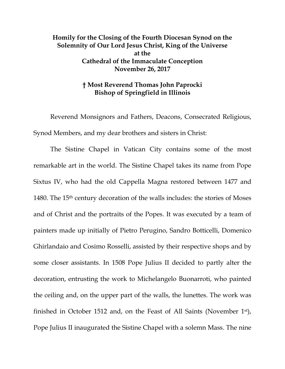## **Homily for the Closing of the Fourth Diocesan Synod on the Solemnity of Our Lord Jesus Christ, King of the Universe at the Cathedral of the Immaculate Conception November 26, 2017**

## **† Most Reverend Thomas John Paprocki Bishop of Springfield in Illinois**

Reverend Monsignors and Fathers, Deacons, Consecrated Religious, Synod Members, and my dear brothers and sisters in Christ:

The Sistine Chapel in Vatican City contains some of the most remarkable art in the world. The Sistine Chapel takes its name from Pope Sixtus IV, who had the old Cappella Magna restored between 1477 and 1480. The 15th century decoration of the walls includes: the stories of Moses and of Christ and the portraits of the Popes. It was executed by a team of painters made up initially of Pietro Perugino, Sandro Botticelli, Domenico Ghirlandaio and Cosimo Rosselli, assisted by their respective shops and by some closer assistants. In 1508 Pope Julius II decided to partly alter the decoration, entrusting the work to Michelangelo Buonarroti, who painted the ceiling and, on the upper part of the walls, the lunettes. The work was finished in October 1512 and, on the Feast of All Saints (November 1st), Pope Julius II inaugurated the Sistine Chapel with a solemn Mass. The nine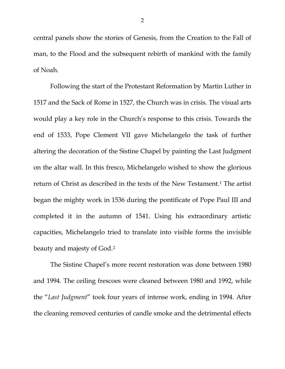central panels show the stories of Genesis, from the Creation to the Fall of man, to the Flood and the subsequent rebirth of mankind with the family of Noah.

Following the start of the Protestant Reformation by Martin Luther in 1517 and the Sack of Rome in 1527, the Church was in crisis. The visual arts would play a key role in the Church's response to this crisis. Towards the end of 1533, Pope Clement VII gave Michelangelo the task of further altering the decoration of the Sistine Chapel by painting the Last Judgment on the altar wall. In this fresco, Michelangelo wished to show the glorious return of Christ as described in the texts of the New Testament.<sup>[1](#page-2-0)</sup> The artist began the mighty work in 1536 during the pontificate of Pope Paul III and completed it in the autumn of 1541. Using his extraordinary artistic capacities, Michelangelo tried to translate into visible forms the invisible beauty and majesty of God.[2](#page-2-1)

The Sistine Chapel's more recent restoration was done between 1980 and 1994. The ceiling frescoes were cleaned between 1980 and 1992, while the "*Last Judgment*" took four years of intense work, ending in 1994. After the cleaning removed centuries of candle smoke and the detrimental effects

2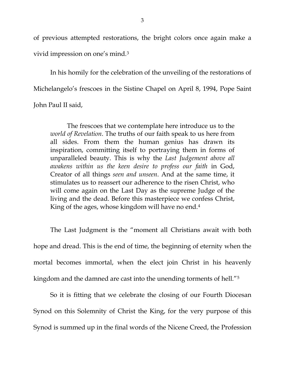of previous attempted restorations, the bright colors once again make a vivid impression on one's mind.[3](#page-2-2)

In his homily for the celebration of the unveiling of the restorations of Michelangelo's frescoes in the Sistine Chapel on April 8, 1994, Pope Saint John Paul II said,

The frescoes that we contemplate here introduce us to the *world of Revelation*. The truths of our faith speak to us here from all sides. From them the human genius has drawn its inspiration, committing itself to portraying them in forms of unparalleled beauty. This is why the *Last Judgement above all awakens within us the keen desire to profess our faith* in God, Creator of all things *seen and unseen*. And at the same time, it stimulates us to reassert our adherence to the risen Christ, who will come again on the Last Day as the supreme Judge of the living and the dead. Before this masterpiece we confess Christ, King of the ages, whose kingdom will have no end.[4](#page-2-3)

<span id="page-2-3"></span><span id="page-2-2"></span><span id="page-2-1"></span><span id="page-2-0"></span>The Last Judgment is the "moment all Christians await with both hope and dread. This is the end of time, the beginning of eternity when the mortal becomes immortal, when the elect join Christ in his heavenly kingdom and the damned are cast into the unending torments of hell."[5](#page-2-4)

<span id="page-2-6"></span><span id="page-2-5"></span><span id="page-2-4"></span>So it is fitting that we celebrate the closing of our Fourth Diocesan Synod on this Solemnity of Christ the King, for the very purpose of this Synod is summed up in the final words of the Nicene Creed, the Profession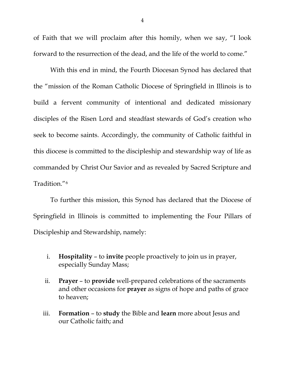<span id="page-3-0"></span>of Faith that we will proclaim after this homily, when we say, "I look forward to the resurrection of the dead, and the life of the world to come."

<span id="page-3-4"></span><span id="page-3-3"></span><span id="page-3-2"></span><span id="page-3-1"></span>With this end in mind, the Fourth Diocesan Synod has declared that the "mission of the Roman Catholic Diocese of Springfield in Illinois is to build a fervent community of intentional and dedicated missionary disciples of the Risen Lord and steadfast stewards of God's creation who seek to become saints. Accordingly, the community of Catholic faithful in this diocese is committed to the discipleship and stewardship way of life as commanded by Christ Our Savior and as revealed by Sacred Scripture and Tradition."[6](#page-2-5)

<span id="page-3-12"></span><span id="page-3-11"></span><span id="page-3-10"></span><span id="page-3-9"></span><span id="page-3-8"></span><span id="page-3-7"></span><span id="page-3-6"></span><span id="page-3-5"></span>To further this mission, this Synod has declared that the Diocese of Springfield in Illinois is committed to implementing the Four Pillars of Discipleship and Stewardship, namely:

- <span id="page-3-14"></span><span id="page-3-13"></span>i. **Hospitality** – to **invite** people proactively to join us in prayer, especially Sunday Mass;
- <span id="page-3-16"></span><span id="page-3-15"></span>ii. **Prayer** – to **provide** well-prepared celebrations of the sacraments and other occasions for **prayer** as signs of hope and paths of grace to heaven;
- <span id="page-3-19"></span><span id="page-3-18"></span><span id="page-3-17"></span>iii. **Formation** – to **study** the Bible and **learn** more about Jesus and our Catholic faith; and

4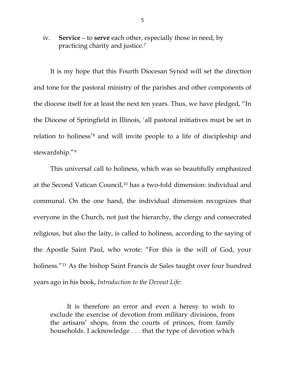<span id="page-4-0"></span>iv. **Service** – to **serve** each other, especially those in need, by practicing charity and justice.[7](#page-2-6)

<span id="page-4-3"></span><span id="page-4-2"></span><span id="page-4-1"></span>It is my hope that this Fourth Diocesan Synod will set the direction and tone for the pastoral ministry of the parishes and other components of the diocese itself for at least the next ten years. Thus, we have pledged, "In the Diocese of Springfield in Illinois, 'all pastoral initiatives must be set in relation to holiness'[8](#page-3-0) and will invite people to a life of discipleship and stewardship."[9](#page-3-1)

This universal call to holiness, which was so beautifully emphasized at the Second Vatican Council,[10](#page-3-2) has a two-fold dimension: individual and communal. On the one hand, the individual dimension recognizes that everyone in the Church, not just the hierarchy, the clergy and consecrated religious, but also the laity, is called to holiness, according to the saying of the Apostle Saint Paul, who wrote: "For this is the will of God, your holiness."<sup>[11](#page-3-3)</sup> As the bishop Saint Francis de Sales taught over four hundred years ago in his book, *Introduction to the Devout Life*:

It is therefore an error and even a heresy to wish to exclude the exercise of devotion from military divisions, from the artisans' shops, from the courts of princes, from family households. I acknowledge . . . that the type of devotion which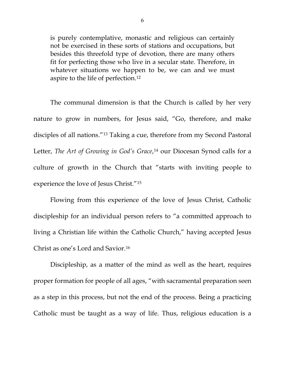is purely contemplative, monastic and religious can certainly not be exercised in these sorts of stations and occupations, but besides this threefold type of devotion, there are many others fit for perfecting those who live in a secular state. Therefore, in whatever situations we happen to be, we can and we must aspire to the life of perfection.[12](#page-3-4)

The communal dimension is that the Church is called by her very nature to grow in numbers, for Jesus said, "Go, therefore, and make disciples of all nations."[13](#page-3-5) Taking a cue, therefore from my Second Pastoral Letter, *The Art of Growing in God's Grace*,<sup>[14](#page-3-6)</sup> our Diocesan Synod calls for a culture of growth in the Church that "starts with inviting people to experience the love of Jesus Christ."[15](#page-3-7)

Flowing from this experience of the love of Jesus Christ, Catholic discipleship for an individual person refers to "a committed approach to living a Christian life within the Catholic Church," having accepted Jesus Christ as one's Lord and Savior[.16](#page-3-8)

Discipleship, as a matter of the mind as well as the heart, requires proper formation for people of all ages, "with sacramental preparation seen as a step in this process, but not the end of the process. Being a practicing Catholic must be taught as a way of life. Thus, religious education is a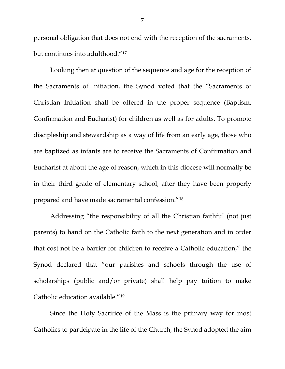personal obligation that does not end with the reception of the sacraments, but continues into adulthood."[17](#page-3-9)

Looking then at question of the sequence and age for the reception of the Sacraments of Initiation, the Synod voted that the "Sacraments of Christian Initiation shall be offered in the proper sequence (Baptism, Confirmation and Eucharist) for children as well as for adults. To promote discipleship and stewardship as a way of life from an early age, those who are baptized as infants are to receive the Sacraments of Confirmation and Eucharist at about the age of reason, which in this diocese will normally be in their third grade of elementary school, after they have been properly prepared and have made sacramental confession."[18](#page-3-10)

Addressing "the responsibility of all the Christian faithful (not just parents) to hand on the Catholic faith to the next generation and in order that cost not be a barrier for children to receive a Catholic education," the Synod declared that "our parishes and schools through the use of scholarships (public and/or private) shall help pay tuition to make Catholic education available."[19](#page-3-11)

Since the Holy Sacrifice of the Mass is the primary way for most Catholics to participate in the life of the Church, the Synod adopted the aim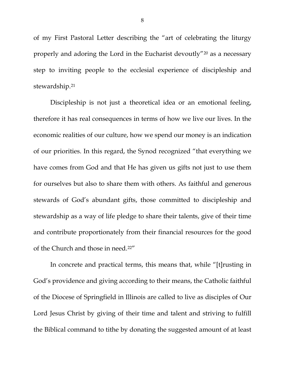of my First Pastoral Letter describing the "art of celebrating the liturgy properly and adoring the Lord in the Eucharist devoutly"[20](#page-3-12) as a necessary step to inviting people to the ecclesial experience of discipleship and stewardship.<sup>[21](#page-3-13)</sup>

Discipleship is not just a theoretical idea or an emotional feeling, therefore it has real consequences in terms of how we live our lives. In the economic realities of our culture, how we spend our money is an indication of our priorities. In this regard, the Synod recognized "that everything we have comes from God and that He has given us gifts not just to use them for ourselves but also to share them with others. As faithful and generous stewards of God's abundant gifts, those committed to discipleship and stewardship as a way of life pledge to share their talents, give of their time and contribute proportionately from their financial resources for the good of the Church and those in need.[22](#page-3-14)"

In concrete and practical terms, this means that, while "[t]rusting in God's providence and giving according to their means, the Catholic faithful of the Diocese of Springfield in Illinois are called to live as disciples of Our Lord Jesus Christ by giving of their time and talent and striving to fulfill the Biblical command to tithe by donating the suggested amount of at least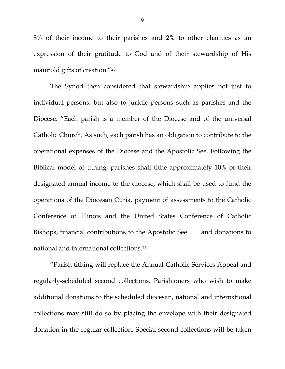8% of their income to their parishes and 2% to other charities as an expression of their gratitude to God and of their stewardship of His manifold gifts of creation."[23](#page-3-15)

The Synod then considered that stewardship applies not just to individual persons, but also to juridic persons such as parishes and the Diocese. "Each parish is a member of the Diocese and of the universal Catholic Church. As such, each parish has an obligation to contribute to the operational expenses of the Diocese and the Apostolic See. Following the Biblical model of tithing, parishes shall tithe approximately 10% of their designated annual income to the diocese, which shall be used to fund the operations of the Diocesan Curia, payment of assessments to the Catholic Conference of Illinois and the United States Conference of Catholic Bishops, financial contributions to the Apostolic See . . . and donations to national and international collections.[24](#page-3-16)

"Parish tithing will replace the Annual Catholic Services Appeal and regularly-scheduled second collections. Parishioners who wish to make additional donations to the scheduled diocesan, national and international collections may still do so by placing the envelope with their designated donation in the regular collection. Special second collections will be taken

9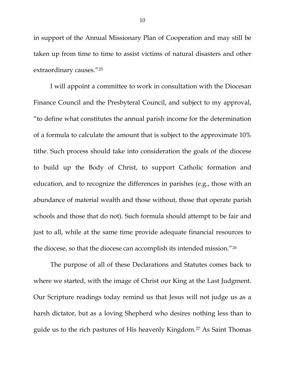in support of the Annual Missionary Plan of Cooperation and may still be taken up from time to time to assist victims of natural disasters and other extraordinary causes."[25](#page-3-17)

I will appoint a committee to work in consultation with the Diocesan Finance Council and the Presbyteral Council, and subject to my approval, "to define what constitutes the annual parish income for the determination of a formula to calculate the amount that is subject to the approximate 10% tithe. Such process should take into consideration the goals of the diocese to build up the Body of Christ, to support Catholic formation and education, and to recognize the differences in parishes (e.g., those with an abundance of material wealth and those without, those that operate parish schools and those that do not). Such formula should attempt to be fair and just to all, while at the same time provide adequate financial resources to the diocese, so that the diocese can accomplish its intended mission."[26](#page-3-18)

The purpose of all of these Declarations and Statutes comes back to where we started, with the image of Christ our King at the Last Judgment. Our Scripture readings today remind us that Jesus will not judge us as a harsh dictator, but as a loving Shepherd who desires nothing less than to guide us to the rich pastures of His heavenly Kingdom.[27](#page-3-19) As Saint Thomas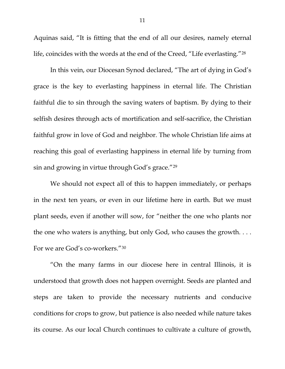Aquinas said, "It is fitting that the end of all our desires, namely eternal life, coincides with the words at the end of the Creed, "Life everlasting."[28](#page-4-0)

In this vein, our Diocesan Synod declared, "The art of dying in God's grace is the key to everlasting happiness in eternal life. The Christian faithful die to sin through the saving waters of baptism. By dying to their selfish desires through acts of mortification and self-sacrifice, the Christian faithful grow in love of God and neighbor. The whole Christian life aims at reaching this goal of everlasting happiness in eternal life by turning from sin and growing in virtue through God's grace."[29](#page-4-1)

We should not expect all of this to happen immediately, or perhaps in the next ten years, or even in our lifetime here in earth. But we must plant seeds, even if another will sow, for "neither the one who plants nor the one who waters is anything, but only God, who causes the growth. . . . For we are God's co-workers."[30](#page-4-2)

"On the many farms in our diocese here in central Illinois, it is understood that growth does not happen overnight. Seeds are planted and steps are taken to provide the necessary nutrients and conducive conditions for crops to grow, but patience is also needed while nature takes its course. As our local Church continues to cultivate a culture of growth,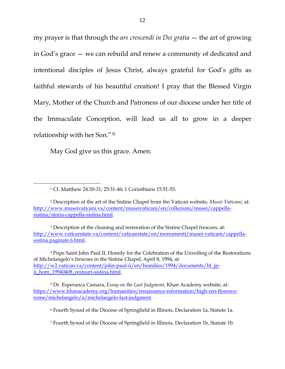my prayer is that through the *ars crescendi in Dei gratia* — the art of growing in God's grace — we can rebuild and renew a community of dedicated and intentional disciples of Jesus Christ, always grateful for God's gifts as faithful stewards of his beautiful creation! I pray that the Blessed Virgin Mary, Mother of the Church and Patroness of our diocese under her title of the Immaculate Conception, will lead us all to grow in a deeper relationship with her Son."[31](#page-4-3)

May God give us this grace. Amen.

 $\overline{a}$ 

<sup>4</sup> Pope Saint John Paul II, Homily for the Celebration of the Unveiling of the Restorations of Michelangelo's frescoes in the Sistine Chapel, April 8, 1994, at: [http://w2.vatican.va/content/john-paul-ii/en/homilies/1994/documents/hf\\_jp](http://w2.vatican.va/content/john-paul-ii/en/homilies/1994/documents/hf_jp-ii_hom_19940408_restauri-sistina.html)ii hom 19940408 restauri-sistina.html.

<sup>5</sup> Dr. Esperanca Camara, *Essay on the Last Judgment*, Khan Academy website, at: [https://www.khanacademy.org/humanities/renaissance-reformation/high-ren-florence](https://www.khanacademy.org/humanities/renaissance-reformation/high-ren-florence-rome/michelangelo/a/michelangelo-last-judgment)[rome/michelangelo/a/michelangelo-last-judgment.](https://www.khanacademy.org/humanities/renaissance-reformation/high-ren-florence-rome/michelangelo/a/michelangelo-last-judgment)

<sup>6</sup> Fourth Synod of the Diocese of Springfield in Illinois, Declaration 1a, Statute 1a.

<sup>7</sup> Fourth Synod of the Diocese of Springfield in Illinois, Declaration 1b, Statute 1b.

<sup>1</sup> Cf. Matthew 24:30-31; 25:31-46; 1 Corinthians 15:51-55.

<sup>2</sup> Description of the art of the Sistine Chapel from the Vatican website, *Musei Vaticani*, at: [http://www.museivaticani.va/content/museivaticani/en/collezioni/musei/cappella](http://www.museivaticani.va/content/museivaticani/en/collezioni/musei/cappella-sistina/storia-cappella-sistina.html)[sistina/storia-cappella-sistina.html.](http://www.museivaticani.va/content/museivaticani/en/collezioni/musei/cappella-sistina/storia-cappella-sistina.html)

<sup>3</sup> Description of the cleaning and restoration of the Sistine Chapel frescoes, at: [http://www.vaticanstate.va/content/vaticanstate/en/monumenti/musei-vaticani/cappella](http://www.vaticanstate.va/content/vaticanstate/en/monumenti/musei-vaticani/cappella-sistina.paginate.6.html)[sistina.paginate.6.html.](http://www.vaticanstate.va/content/vaticanstate/en/monumenti/musei-vaticani/cappella-sistina.paginate.6.html)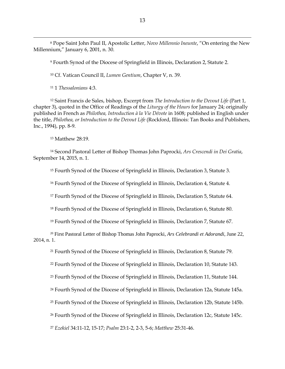Pope Saint John Paul II, Apostolic Letter, *Novo Millennio Ineunte*, "On entering the New Millennium," January 6, 2001, n. 30.

Fourth Synod of the Diocese of Springfield in Illinois, Declaration 2, Statute 2.

Cf. Vatican Council II, *Lumen Gentium*, Chapter V, n. 39.

1 *Thessalonians* 4:3.

 $\overline{a}$ 

 Saint Francis de Sales, bishop, Excerpt from *The Introduction to the Devout Life* (Part 1, chapter 3), quoted in the Office of Readings of the *Liturgy of the Hours* for January 24; originally published in French as *Philothea, Introduction à la Vie Dévote* in 1608; published in English under the title, *Philothea, or Introduction to the Devout Life* (Rockford, Illinois: Tan Books and Publishers, Inc., 1994), pp. 8-9.

Matthew 28:19.

 Second Pastoral Letter of Bishop Thomas John Paprocki, *Ars Crescendi in Dei Gratia*, September 14, 2015, n. 1.

Fourth Synod of the Diocese of Springfield in Illinois, Declaration 3, Statute 3.

Fourth Synod of the Diocese of Springfield in Illinois, Declaration 4, Statute 4.

Fourth Synod of the Diocese of Springfield in Illinois, Declaration 5, Statute 64.

Fourth Synod of the Diocese of Springfield in Illinois, Declaration 6, Statute 80.

Fourth Synod of the Diocese of Springfield in Illinois, Declaration 7, Statute 67.

 First Pastoral Letter of Bishop Thomas John Paprocki, *Ars Celebrandi et Adorandi*, June 22, 2014, n. 1.

Fourth Synod of the Diocese of Springfield in Illinois, Declaration 8, Statute 79.

Fourth Synod of the Diocese of Springfield in Illinois, Declaration 10, Statute 143.

<sup>23</sup> Fourth Synod of the Diocese of Springfield in Illinois, Declaration 11, Statute 144.

Fourth Synod of the Diocese of Springfield in Illinois, Declaration 12a, Statute 145a.

Fourth Synod of the Diocese of Springfield in Illinois, Declaration 12b, Statute 145b.

Fourth Synod of the Diocese of Springfield in Illinois, Declaration 12c, Statute 145c.

*Ezekiel* 34:11-12, 15-17; *Psalm* 23:1-2, 2-3, 5-6; *Matthew* 25:31-46.